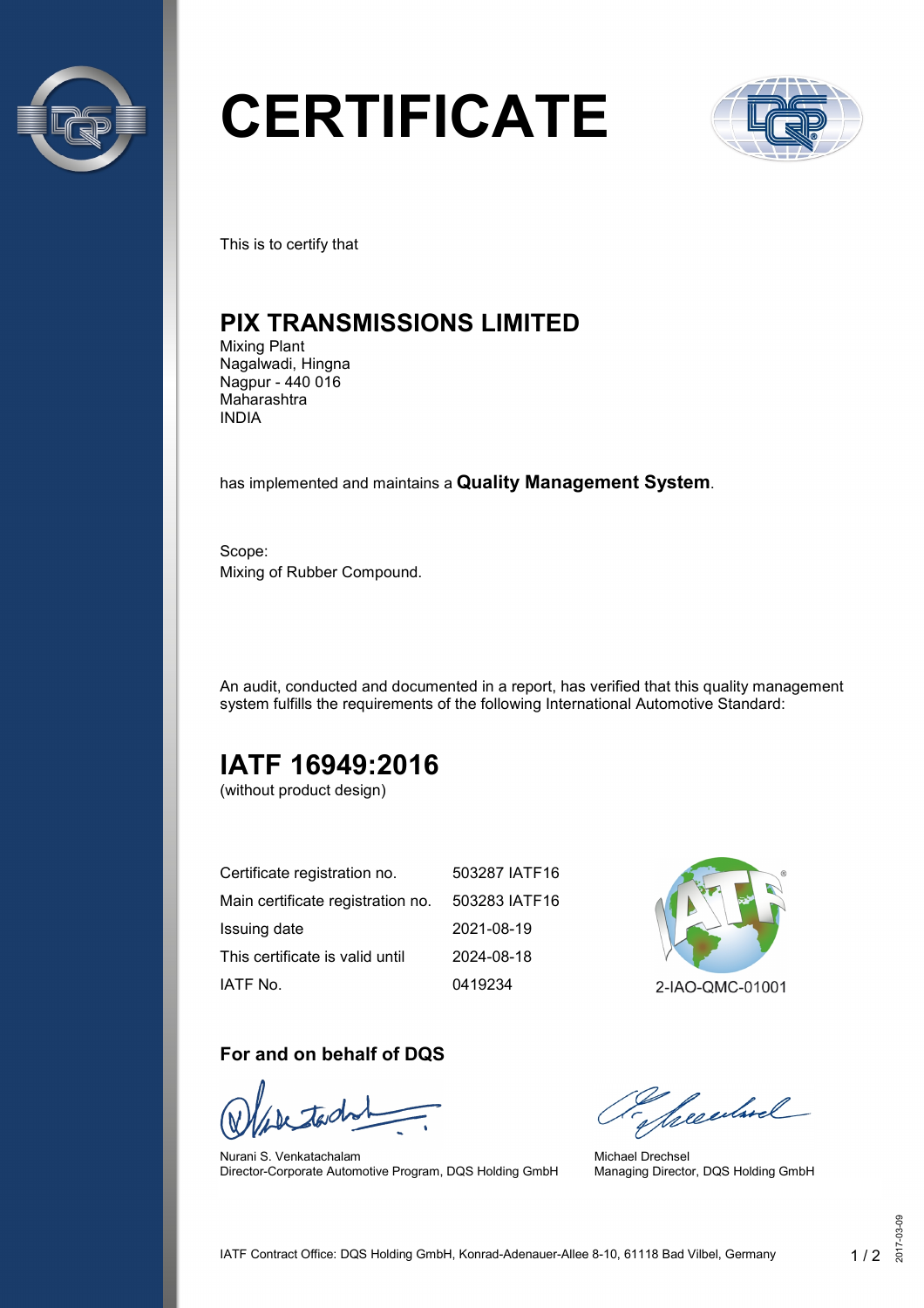

# **CERTIFICATE**



This is to certify that

## **PIX TRANSMISSIONS LIMITED**

Mixing Plant Nagalwadi, Hingna Nagpur - 440 016 Maharashtra INDIA

has implemented and maintains a **Quality Management System**.

Scope: Mixing of Rubber Compound.

An audit, conducted and documented in a report, has verified that this quality management system fulfills the requirements of the following International Automotive Standard:

# **IATF 16949:2016**

(without product design)

| Certificate registration no.      | 503287 IATF16 |
|-----------------------------------|---------------|
| Main certificate registration no. | 503283 IATF16 |
| Issuing date                      | 2021-08-19    |
| This certificate is valid until   | 2024-08-18    |
| IATF No.                          | 0419234       |

#### **For and on behalf of DQS**

Nurani S. Venkatachalam Director-Corporate Automotive Program, DQS Holding GmbH



Secularel

Michael Drechsel Managing Director, DQS Holding GmbH